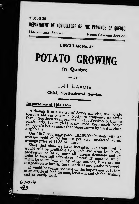$2 M.-3-20$ DEPARTMENT OF AGRICULTURE OF THE PROVINCE OF QUEBEC **Horticultural Service Home Gardens Section** 

**CIRCULAR No. 37** 

# POTATO GROWING

# in Quebec

 $-BY-$ 

# J.-H. LAVOIE.

# Chief, Horticultural Service.

# Importance of this crop

Although it is a native of South America, the potato however thrives better in Northern temperate countries than in Southern warm regions. In the Province of Quebec particularly, tubers yield larger crops, keep much longer and are of a better grade than those grown by our American

Our 1917 crop aggregated 18,158,000 bushels with an average yield of 80 bushels per acre, marketed at an average price of \$1.38 per hushel.

Since that time we have increased our crops, but it would still be profitable to double and even treble our production so as to meet all foreign demands and in order to take full advantage of near by markets which might be taken from us by other nations, if we are not in a position to furnish the quantities and grades required.

It would be useless to insist on the importance of tubers as an article of food for man, for starch and alcohol making and as cattle food.

 $630.4$  $\sqrt{3}$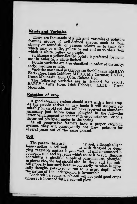# **Kinds and Varieties**

There are thousands of kinds and varieties of potatoes forming groups of well-defined shapes, such as long, oblong or roundish; of various colours as to their skin which may be white, yellow or red and as to their flesh which is white, yellow or purple.

In Europe a yellow-fleshed potato is preferred for home use; in America, a white-fleshed.

Potato varieties are also classified in order of maturity: early, medium or late.

Varieties most used in Quebec are the following: EARLY: Early Rose, Irish Cobbler; MEDIUM : Carman; LATE : Green Mountain, Gold Coin, Dakota Red.

The following varieties are in demand for export:<br>EARLY: Early Rose, Irish Cobbler; LATE: Green Mountain.

# Rotation of crop

A good cropping system should start with a hoed-crop. As the potato thrives in new lands it will succeed admirably on an old sod that will have received an abundant manuring just before being ploughed in the fall-the latter being imperative under such circumstances-or on a clover sod ploughed under in the spring.

As all progressive farmers have a proper cropping system, they will consequently not grow potatoes for several years out of the same ground.

## Soil

The potato thrives in a ray soil, although a light loamy soil, or a soil well u with decayed or decaying vegetable matter is preterred. It will not succeed in compact, cold and wet soils which cause it to rot. Besides containing a plentiful supply of barn-manure, ploughed in clover etc., the soil should also be deep and the subsoil properly loosened; because contrarily to what is generally thought, potato roots run to a great depth when the nature of the underground is favourable.

Lands with a compact sub-soil will not yield good crops unless it is loosened with a sub-soil plow.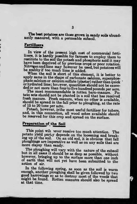The best potatoes are those grown in sandy soils abundantly manured, with a permeable subsoil.

#### Fertilizers.

ł

In view of the present high cost of commercial fertilizers, it is hardly possible for farmers to employ them to restitute to the soil the potash and phosphoric acid it may have been deprived of by previous crops or poor rotation. Nitrogen and lime may however be used, but potatoes will

be scabby if too much lime is added.<br>When the soil is short of this element, it is better to apply same in the shape of carbonate calcium, superphos-<br>phate calcium or calcium sulfate (plaster) rather than quick<br>or hydrated lime; however, quantities should not be exceeded or not more than four to five hundred pound

tato sets should not be planted in a soil that has received fresh manure. Fresh manure, when no other is available, should be spread in the fall prior to ploughing, at the rate of 15 to 20 tons per acre.

Potash, however, is the most useful fertilizer for tubers, and, in this connection, all wood ashes available should be reserved for this crop and spread on the surface.

# Preparation of <sup>t</sup>he Soil

This point will lever receive too much attention. The potato yield partly depends on the loosening and break-<br>ing up of the soil. On an old sod, it is obvious that fall ploughings are imperative as well as on any soils that are more clayey than sandy.

The ploughing will vary with the nature of the subsoil but in all cases it should be as deep as possible, without however, bringing up to the surface more than one inch of earth that will not yet have been submitted to the action of air.

In the following spring, as soon as the soil is warm enough, another ploughing shall be given followed by two good harrowings so as to destroy most of the weeds that might be found. Rotten manures should also be spread at that tune.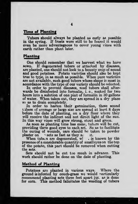## **Time of Planting**

Tubers should always be planted as early as possible in the spring. If frosts were still to be feared it would even be more advantageous to cover young vines with earth rather than plant later.

#### Planting

One should remember that we harvest what we have sown. If degenerated tubers or attacked by diseases. are planted, one should not look to a bountv crop of sound and good potatoes. Potato varieties should also be kept true to type, in as much as possible. When pure varieties are not available, such good tubers whose shape is most in accordance with the type of our variety should be selected.

In order to prevent diseases, seed tubers shall afterwards be disinfected into formalin, i. e., soaked for two hours into a solution of one pint of formalin in 30 gallons of water. When taken out, they are spread in a dry place so as to drain completely.

In order to hasten their germination, these sound t abers of average or large size are spread at least 8 days before the date of planting, on a dry floor where they will receive the indirect and not direct light of the sun. In this way vines will grow strong, stout and green.

As soon as planting time has come, tubers will be cut, providing three good eyes to each set. So as to facilitate the curing of wounds, care should be taken to powder plaster on sets as fast as they are it. plaster on sets as fast as they  $a_i$  it.<br>When tube.s are degenerated, w! is known by the

presence of a considerable quantity of small eyes on the top of the potato, this part should be removed when cutting the sets.

Sets should not be cut too much in advance. This work should rather be done on the date of planting.

#### Method of Planting

Potatoes are planted in various ways. Where the ground is infested by couch-grass we would narticularly recommend planting seta three feet apart jus. as is done for com. This method falicitates the weeding of tubers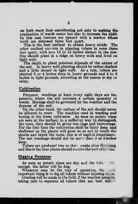on both ways thus contributing not only to making the eradication of weeds easier but also to increase the yield. In this case furrows are opened with a marker whose teeth are disposed three feet apart.

This is the best method to obtain heavy yields. The other method consists in planting tubers in rows three feet apart, with sets 12 to 15 inches distant in the row. One should plant in a ridge on heavy soils and level on light soils.

The depth to plant potatoes depends of the nature of the soil. In heavy soils planting should be rather shallow and a little deeper in light soils. As a rule, tubers are planted 3 or 4 mches deep in lieavy grounds and 4 to G inches in light grounds, according as the season is dry or rainy.

#### Cultivation

Frequent weedings at least every eight days are imperative where the soil contains a certain quantitv of weeds. Hoeings shall be governed by the weather and the dryness of the soil.

On the other hand, the surface of the soil should never be allowed to crust. The machine used in weeding and hoeing is the horse cultivator. As soon as potato vines are seen at the surface; in a sufficient way to distinguish the rows, they should be given weedings and harrowings. For the first time the cultivation shall be fairly deep and shallower as the plants will grow so as not to touch the shoots and break the roots; this is of capital importance. The last weedings should not be more than 2 or 3 inches deep.

Tubers are produced two or three weeks after flex  $\frac{1}{\sqrt{2}}$ and this is the time plants should receive the best attention.

### Digging Potatoes

As soon as potato vines are dry and the tube enough the latter will be dug.

Whatever may be the way of operation, the important thing is to dig all tubers without injuring the m.

Grading will be made in the field, if the weather permits, taking care to separate all tubers that are best suit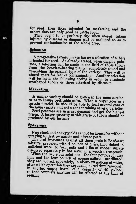for seed, then those intended for marketing and the others that are onlv good as cattle food.

They ought to be perfectly dry when stored; tubers injured by diseases or digging will be excluded so as to prevent contamination of the whole crop.

## **Selection**

A progressive farmer makes his own selection of tubers mtended for seed. As already stated, when digging potatoes, a selection will be made in the field of those tubers from the heaviest-bearing plants, completely sound and resembling the original type of the variety. They will be stored apart for fear of contamination. Another selection will be made the following spring in order to eliminate misshaped tubers or those attacked by disease?

## Marketing

A similar variety should be grown in the same section,<br>so as to insure profitable sales. When a buyer goes in a certain district, he should be able to load several cars of the same variety and not <sup>a</sup> car containing several varieties.

Seed potatoes are in great demand and get the highest prices. A larger quantity of this grade of tubers should be produced by our farmers.

#### **Sprayings**

Nice stock and heavy yields cannot be hoped for without spraying to destroy insects and disease pests.

The best treatment against all these pests is Bordeaux mixture, prepared with 4 pounds of quick lime slaked in sufficient water to form milk and 4 lbs of copper sulfate dissolved separately in hot water in a wooden receptacle.

When the two stock solutions—the four pounds of quick lime and the four pounds of copper sulfate—are diluted, they are poured, separately, in about 20 gallons of water, after which operation they are again poured simultane in another empty barrel of a capacity of 40 gallons, so that complete nuxture will be effected at the time of pouring.